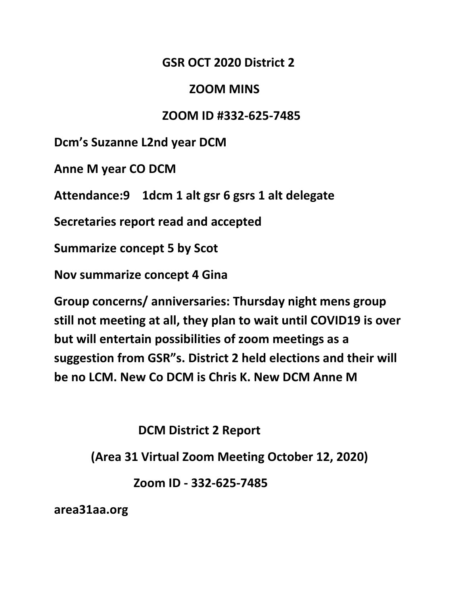## **GSR OCT 2020 District 2**

## **ZOOM MINS**

## **ZOOM ID #332-625-7485**

**Dcm's Suzanne L2nd year DCM**

**Anne M year CO DCM**

**Attendance:9 1dcm 1 alt gsr 6 gsrs 1 alt delegate**

**Secretaries report read and accepted**

**Summarize concept 5 by Scot**

**Nov summarize concept 4 Gina**

**Group concerns/ anniversaries: Thursday night mens group still not meeting at all, they plan to wait until COVID19 is over but will entertain possibilities of zoom meetings as a suggestion from GSR"s. District 2 held elections and their will be no LCM. New Co DCM is Chris K. New DCM Anne M**

**DCM District 2 Report**

 **(Area 31 Virtual Zoom Meeting October 12, 2020)**

 **Zoom ID - 332-625-7485** 

**area31aa.org**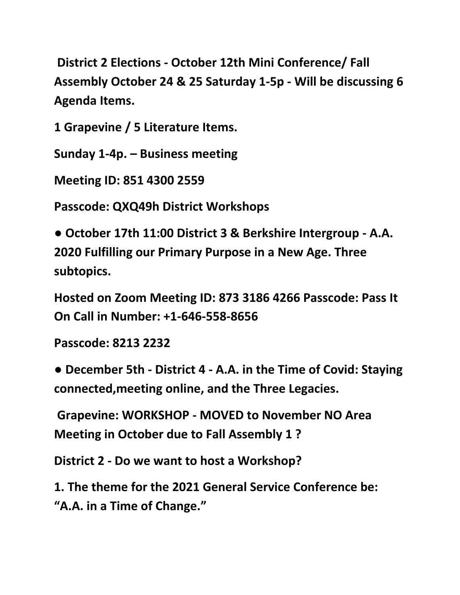**District 2 Elections - October 12th Mini Conference/ Fall Assembly October 24 & 25 Saturday 1-5p - Will be discussing 6 Agenda Items.**

**1 Grapevine / 5 Literature Items.** 

**Sunday 1-4p. – Business meeting** 

**Meeting ID: 851 4300 2559**

**Passcode: QXQ49h District Workshops** 

**● October 17th 11:00 District 3 & Berkshire Intergroup - A.A. 2020 Fulfilling our Primary Purpose in a New Age. Three subtopics.** 

**Hosted on Zoom Meeting ID: 873 3186 4266 Passcode: Pass It On Call in Number: +1-646-558-8656** 

**Passcode: 8213 2232**

**● December 5th - District 4 - A.A. in the Time of Covid: Staying connected,meeting online, and the Three Legacies.**

**Grapevine: WORKSHOP - MOVED to November NO Area Meeting in October due to Fall Assembly 1 ?** 

**District 2 - Do we want to host a Workshop?** 

**1. The theme for the 2021 General Service Conference be: "A.A. in a Time of Change."**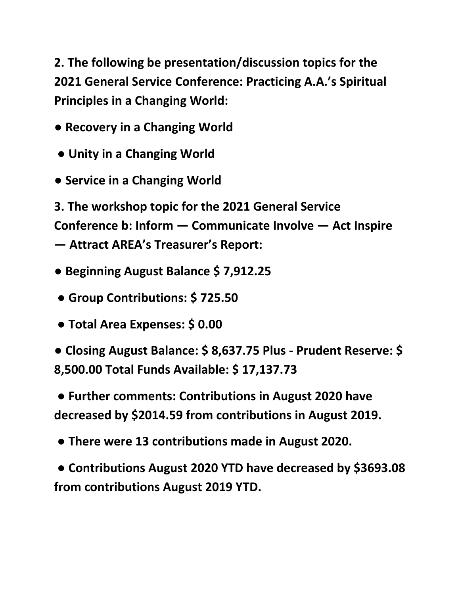**2. The following be presentation/discussion topics for the 2021 General Service Conference: Practicing A.A.'s Spiritual Principles in a Changing World:** 

- **Recovery in a Changing World**
- **Unity in a Changing World**
- **Service in a Changing World**

**3. The workshop topic for the 2021 General Service Conference b: Inform — Communicate Involve — Act Inspire — Attract AREA's Treasurer's Report:** 

- **Beginning August Balance \$ 7,912.25**
- **Group Contributions: \$ 725.50**
- **Total Area Expenses: \$ 0.00**

**● Closing August Balance: \$ 8,637.75 Plus - Prudent Reserve: \$ 8,500.00 Total Funds Available: \$ 17,137.73**

**● Further comments: Contributions in August 2020 have decreased by \$2014.59 from contributions in August 2019.**

**● There were 13 contributions made in August 2020.**

**● Contributions August 2020 YTD have decreased by \$3693.08 from contributions August 2019 YTD.**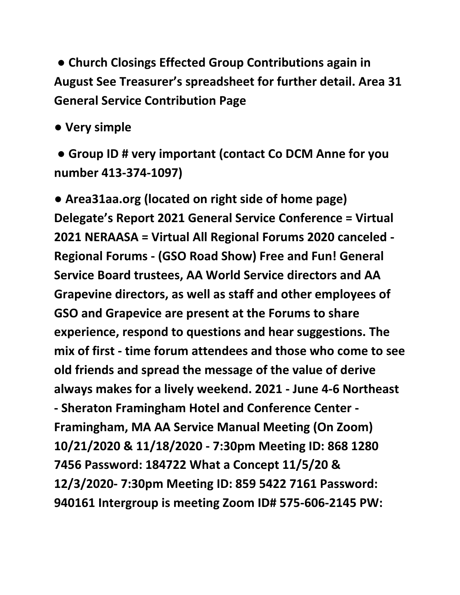**● Church Closings Effected Group Contributions again in August See Treasurer's spreadsheet for further detail. Area 31 General Service Contribution Page** 

**● Very simple**

**● Group ID # very important (contact Co DCM Anne for you number 413-374-1097)** 

**● Area31aa.org (located on right side of home page) Delegate's Report 2021 General Service Conference = Virtual 2021 NERAASA = Virtual All Regional Forums 2020 canceled - Regional Forums - (GSO Road Show) Free and Fun! General Service Board trustees, AA World Service directors and AA Grapevine directors, as well as staff and other employees of GSO and Grapevice are present at the Forums to share experience, respond to questions and hear suggestions. The mix of first - time forum attendees and those who come to see old friends and spread the message of the value of derive always makes for a lively weekend. 2021 - June 4-6 Northeast - Sheraton Framingham Hotel and Conference Center - Framingham, MA AA Service Manual Meeting (On Zoom) 10/21/2020 & 11/18/2020 - 7:30pm Meeting ID: 868 1280 7456 Password: 184722 What a Concept 11/5/20 & 12/3/2020- 7:30pm Meeting ID: 859 5422 7161 Password: 940161 Intergroup is meeting Zoom ID# 575-606-2145 PW:**